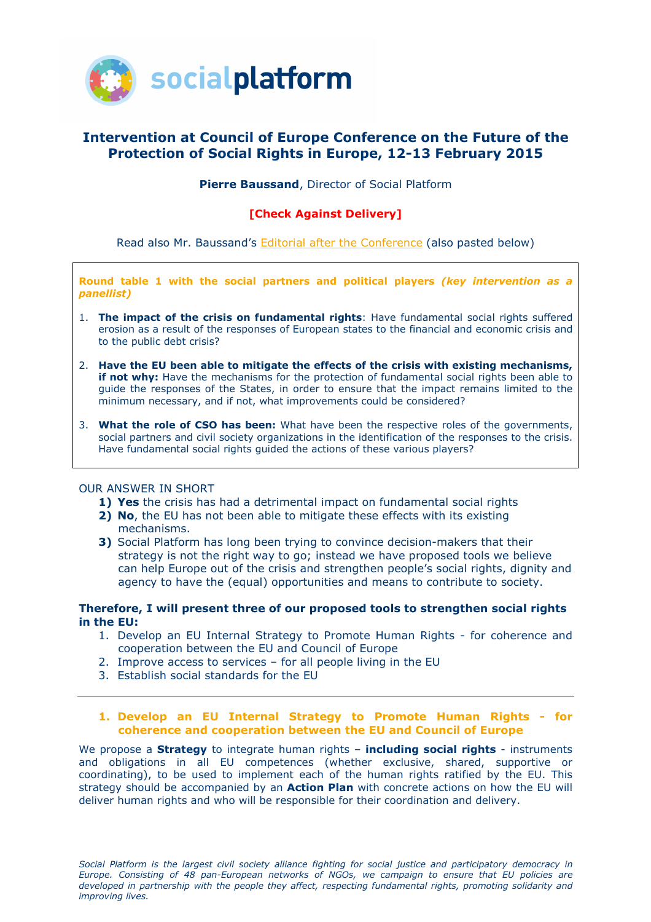

# **Intervention at Council of Europe Conference on the Future of the Protection of Social Rights in Europe, 12-13 February 2015**

**Pierre Baussand**, Director of Social Platform

# **[Check Against Delivery]**

Read also Mr. Baussand's **Editorial after the Conference** (also pasted below)

**Round table 1 with the social partners and political players** *(key intervention as a panellist)* 

- 1. **The impact of the crisis on fundamental rights**: Have fundamental social rights suffered erosion as a result of the responses of European states to the financial and economic crisis and to the public debt crisis?
- 2. **Have the EU been able to mitigate the effects of the crisis with existing mechanisms, if not why:** Have the mechanisms for the protection of fundamental social rights been able to guide the responses of the States, in order to ensure that the impact remains limited to the minimum necessary, and if not, what improvements could be considered?
- 3. **What the role of CSO has been:** What have been the respective roles of the governments, social partners and civil society organizations in the identification of the responses to the crisis. Have fundamental social rights guided the actions of these various players?

# OUR ANSWER IN SHORT

- **1) Yes** the crisis has had a detrimental impact on fundamental social rights
- **2) No**, the EU has not been able to mitigate these effects with its existing mechanisms.
- **3)** Social Platform has long been trying to convince decision-makers that their strategy is not the right way to go; instead we have proposed tools we believe can help Europe out of the crisis and strengthen people's social rights, dignity and agency to have the (equal) opportunities and means to contribute to society.

# **Therefore, I will present three of our proposed tools to strengthen social rights in the EU:**

- 1. Develop an EU Internal Strategy to Promote Human Rights for coherence and cooperation between the EU and Council of Europe
- 2. Improve access to services for all people living in the EU
- 3. Establish social standards for the EU

#### **1. Develop an EU Internal Strategy to Promote Human Rights - for coherence and cooperation between the EU and Council of Europe**

We propose a **Strategy** to integrate human rights – **including social rights** - instruments and obligations in all EU competences (whether exclusive, shared, supportive or coordinating), to be used to implement each of the human rights ratified by the EU. This strategy should be accompanied by an **Action Plan** with concrete actions on how the EU will deliver human rights and who will be responsible for their coordination and delivery.

*Social Platform is the largest civil society alliance fighting for social justice and participatory democracy in Europe. Consisting of 48 pan-European networks of NGOs, we campaign to ensure that EU policies are developed in partnership with the people they affect, respecting fundamental rights, promoting solidarity and improving lives.*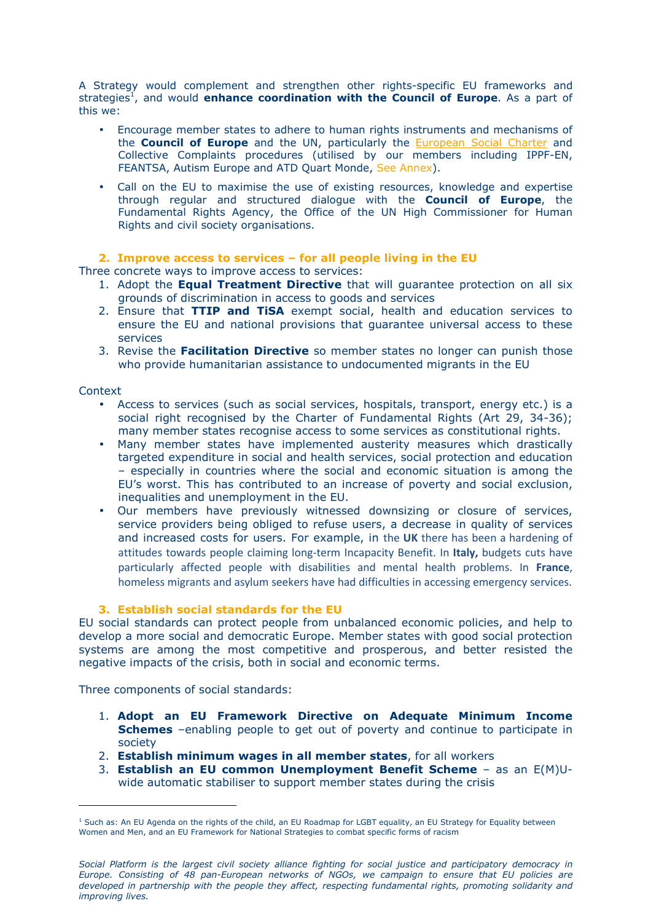A Strategy would complement and strengthen other rights-specific EU frameworks and strategies<sup>1</sup>, and would **enhance coordination with the Council of Europe**. As a part of this we:

- Encourage member states to adhere to human rights instruments and mechanisms of the **Council of Europe** and the UN, particularly the European Social Charter and Collective Complaints procedures (utilised by our members including IPPF-EN, FEANTSA, Autism Europe and ATD Quart Monde, See Annex).
- Call on the EU to maximise the use of existing resources, knowledge and expertise through regular and structured dialogue with the **Council of Europe**, the Fundamental Rights Agency, the Office of the UN High Commissioner for Human Rights and civil society organisations.

# **2. Improve access to services – for all people living in the EU**

Three concrete ways to improve access to services:

- 1. Adopt the **Equal Treatment Directive** that will guarantee protection on all six grounds of discrimination in access to goods and services
- 2. Ensure that **TTIP and TiSA** exempt social, health and education services to ensure the EU and national provisions that guarantee universal access to these services
- 3. Revise the **Facilitation Directive** so member states no longer can punish those who provide humanitarian assistance to undocumented migrants in the EU

#### **Context**

-

- Access to services (such as social services, hospitals, transport, energy etc.) is a social right recognised by the Charter of Fundamental Rights (Art 29, 34-36); many member states recognise access to some services as constitutional rights.
- Many member states have implemented austerity measures which drastically targeted expenditure in social and health services, social protection and education – especially in countries where the social and economic situation is among the EU's worst. This has contributed to an increase of poverty and social exclusion, inequalities and unemployment in the EU.
- Our members have previously witnessed downsizing or closure of services, service providers being obliged to refuse users, a decrease in quality of services and increased costs for users. For example, in the **UK** there has been a hardening of attitudes towards people claiming long-term Incapacity Benefit. In **Italy,** budgets cuts have particularly affected people with disabilities and mental health problems. In **France**, homeless migrants and asylum seekers have had difficulties in accessing emergency services.

# **3. Establish social standards for the EU**

EU social standards can protect people from unbalanced economic policies, and help to develop a more social and democratic Europe. Member states with good social protection systems are among the most competitive and prosperous, and better resisted the negative impacts of the crisis, both in social and economic terms.

Three components of social standards:

- 1. **Adopt an EU Framework Directive on Adequate Minimum Income Schemes** –enabling people to get out of poverty and continue to participate in society
- 2. **Establish minimum wages in all member states**, for all workers
- 3. **Establish an EU common Unemployment Benefit Scheme** as an E(M)Uwide automatic stabiliser to support member states during the crisis

<sup>&</sup>lt;sup>1</sup> Such as: An EU Agenda on the rights of the child, an EU Roadmap for LGBT equality, an EU Strategy for Equality between Women and Men, and an EU Framework for National Strategies to combat specific forms of racism

*Social Platform is the largest civil society alliance fighting for social justice and participatory democracy in Europe. Consisting of 48 pan-European networks of NGOs, we campaign to ensure that EU policies are developed in partnership with the people they affect, respecting fundamental rights, promoting solidarity and improving lives.*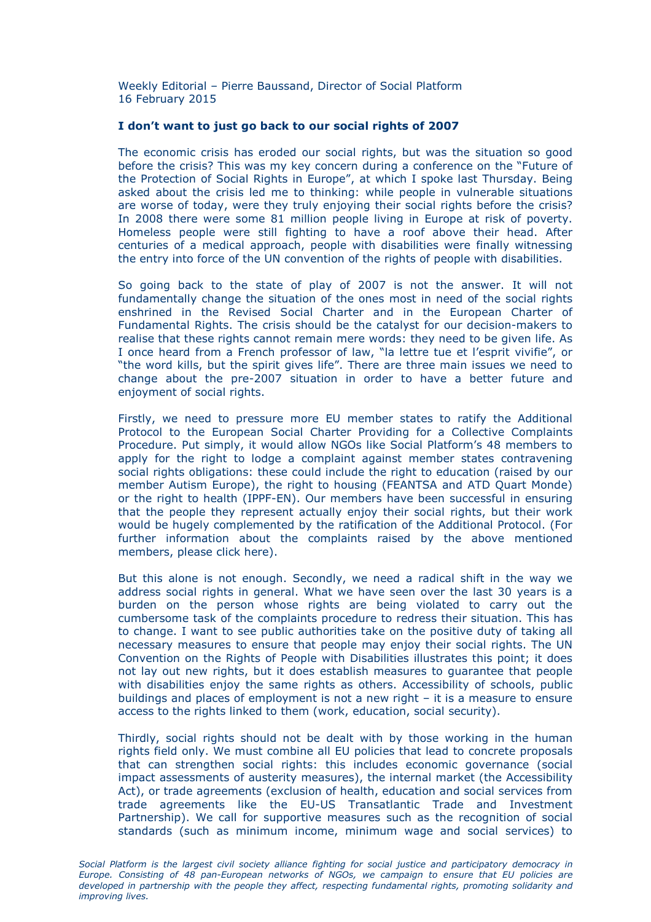Weekly Editorial – Pierre Baussand, Director of Social Platform 16 February 2015

#### **I don't want to just go back to our social rights of 2007**

The economic crisis has eroded our social rights, but was the situation so good before the crisis? This was my key concern during a conference on the "Future of the Protection of Social Rights in Europe", at which I spoke last Thursday. Being asked about the crisis led me to thinking: while people in vulnerable situations are worse of today, were they truly enjoying their social rights before the crisis? In 2008 there were some 81 million people living in Europe at risk of poverty. Homeless people were still fighting to have a roof above their head. After centuries of a medical approach, people with disabilities were finally witnessing the entry into force of the UN convention of the rights of people with disabilities.

So going back to the state of play of 2007 is not the answer. It will not fundamentally change the situation of the ones most in need of the social rights enshrined in the Revised Social Charter and in the European Charter of Fundamental Rights. The crisis should be the catalyst for our decision-makers to realise that these rights cannot remain mere words: they need to be given life. As I once heard from a French professor of law, "la lettre tue et l'esprit vivifie", or "the word kills, but the spirit gives life". There are three main issues we need to change about the pre-2007 situation in order to have a better future and enjoyment of social rights.

Firstly, we need to pressure more EU member states to ratify the Additional Protocol to the European Social Charter Providing for a Collective Complaints Procedure. Put simply, it would allow NGOs like Social Platform's 48 members to apply for the right to lodge a complaint against member states contravening social rights obligations: these could include the right to education (raised by our member Autism Europe), the right to housing (FEANTSA and ATD Quart Monde) or the right to health (IPPF-EN). Our members have been successful in ensuring that the people they represent actually enjoy their social rights, but their work would be hugely complemented by the ratification of the Additional Protocol. (For further information about the complaints raised by the above mentioned members, please click here).

But this alone is not enough. Secondly, we need a radical shift in the way we address social rights in general. What we have seen over the last 30 years is a burden on the person whose rights are being violated to carry out the cumbersome task of the complaints procedure to redress their situation. This has to change. I want to see public authorities take on the positive duty of taking all necessary measures to ensure that people may enjoy their social rights. The UN Convention on the Rights of People with Disabilities illustrates this point; it does not lay out new rights, but it does establish measures to guarantee that people with disabilities enjoy the same rights as others. Accessibility of schools, public buildings and places of employment is not a new right – it is a measure to ensure access to the rights linked to them (work, education, social security).

Thirdly, social rights should not be dealt with by those working in the human rights field only. We must combine all EU policies that lead to concrete proposals that can strengthen social rights: this includes economic governance (social impact assessments of austerity measures), the internal market (the Accessibility Act), or trade agreements (exclusion of health, education and social services from trade agreements like the EU-US Transatlantic Trade and Investment Partnership). We call for supportive measures such as the recognition of social standards (such as minimum income, minimum wage and social services) to

*Social Platform is the largest civil society alliance fighting for social justice and participatory democracy in Europe. Consisting of 48 pan-European networks of NGOs, we campaign to ensure that EU policies are developed in partnership with the people they affect, respecting fundamental rights, promoting solidarity and improving lives.*